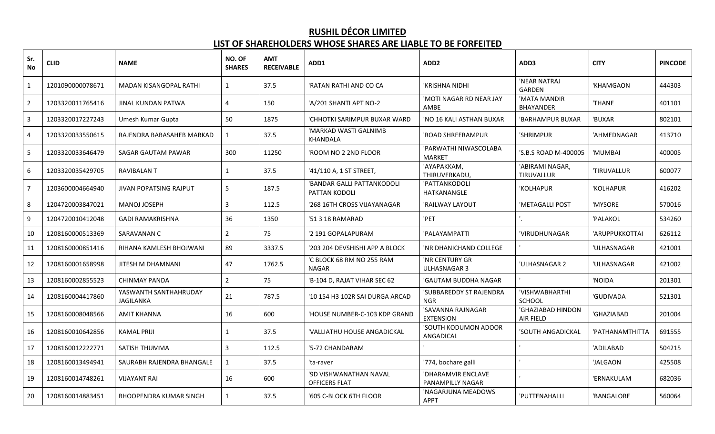# **RUSHIL DÉCOR LIMITED**

### **LIST OF SHAREHOLDERS WHOSE SHARES ARE LIABLE TO BE FORFEITED**

| Sr.<br><b>No</b> | <b>CLID</b>      | <b>NAME</b>                               | NO. OF<br><b>SHARES</b> | <b>AMT</b><br><b>RECEIVABLE</b> | ADD1                                        | ADD <sub>2</sub>                       | ADD3                                  | <b>CITY</b>     | <b>PINCODE</b> |
|------------------|------------------|-------------------------------------------|-------------------------|---------------------------------|---------------------------------------------|----------------------------------------|---------------------------------------|-----------------|----------------|
|                  | 1201090000078671 | <b>MADAN KISANGOPAL RATHI</b>             | $\mathbf{1}$            | 37.5                            | 'RATAN RATHI AND CO CA                      | 'KRISHNA NIDHI                         | 'NEAR NATRAJ<br><b>GARDEN</b>         | 'KHAMGAON       | 444303         |
| $\overline{2}$   | 1203320011765416 | JINAL KUNDAN PATWA                        | $\overline{4}$          | 150                             | 'A/201 SHANTI APT NO-2                      | 'MOTI NAGAR RD NEAR JAY<br>AMBE        | 'MATA MANDIR<br>BHAYANDER             | 'THANE          | 401101         |
| 3                | 1203320017227243 | Umesh Kumar Gupta                         | 50                      | 1875                            | 'CHHOTKI SARIMPUR BUXAR WARD                | 'NO 16 KALI ASTHAN BUXAR               | 'BARHAMPUR BUXAR                      | 'BUXAR          | 802101         |
| 4                | 1203320033550615 | RAJENDRA BABASAHEB MARKAD                 | $\mathbf{1}$            | 37.5                            | 'MARKAD WASTI GALNIMB<br>KHANDALA           | 'ROAD SHREERAMPUR                      | 'SHRIMPUR                             | 'AHMEDNAGAR     | 413710         |
| 5                | 1203320033646479 | SAGAR GAUTAM PAWAR                        | 300                     | 11250                           | 'ROOM NO 2 2ND FLOOR                        | 'PARWATHI NIWASCOLABA<br><b>MARKET</b> | 'S.B.S ROAD M-400005                  | 'MUMBAI         | 400005         |
| 6                | 1203320035429705 | RAVIBALAN T                               | $\mathbf{1}$            | 37.5                            | '41/110 A, 1 ST STREET,                     | 'АҮАРАККАМ,<br>THIRUVERKADU,           | 'ABIRAMI NAGAR,<br><b>TIRUVALLUR</b>  | 'TIRUVALLUR     | 600077         |
| 7                | 1203600004664940 | <b>JIVAN POPATSING RAJPUT</b>             | 5                       | 187.5                           | 'BANDAR GALLI PATTANKODOLI<br>PATTAN KODOLI | 'PATTANKODOLI<br>HATKANANGLE           | 'KOLHAPUR                             | 'KOLHAPUR       | 416202         |
| 8                | 1204720003847021 | MANOJ JOSEPH                              | 3                       | 112.5                           | '268 16TH CROSS VIJAYANAGAR                 | 'RAILWAY LAYOUT                        | 'METAGALLI POST                       | 'MYSORE         | 570016         |
| 9                | 1204720010412048 | GADI RAMAKRISHNA                          | 36                      | 1350                            | '51 3 18 RAMARAD                            | 'PET                                   |                                       | 'PALAKOL        | 534260         |
| 10               | 1208160000513369 | SARAVANAN C                               | $\overline{2}$          | 75                              | '2 191 GOPALAPURAM                          | 'PALAYAMPATTI                          | 'VIRUDHUNAGAR                         | 'ARUPPUKKOTTAI  | 626112         |
| 11               | 1208160000851416 | RIHANA KAMLESH BHOJWANI                   | 89                      | 3337.5                          | '203 204 DEVSHISHI APP A BLOCK              | 'NR DHANICHAND COLLEGE                 |                                       | 'ULHASNAGAR     | 421001         |
| 12               | 1208160001658998 | <b>JITESH M DHAMNANI</b>                  | 47                      | 1762.5                          | 'C BLOCK 68 RM NO 255 RAM<br><b>NAGAR</b>   | 'NR CENTURY GR<br>ULHASNAGAR 3         | 'ULHASNAGAR 2                         | 'ULHASNAGAR     | 421002         |
| 13               | 1208160002855523 | CHINMAY PANDA                             | $\overline{2}$          | 75                              | 'B-104 D, RAJAT VIHAR SEC 62                | 'GAUTAM BUDDHA NAGAR                   |                                       | 'NOIDA          | 201301         |
| 14               | 1208160004417860 | YASWANTH SANTHAHRUDAY<br><b>JAGILANKA</b> | 21                      | 787.5                           | '10 154 H3 102R SAI DURGA ARCAD             | 'SUBBAREDDY ST RAJENDRA<br><b>NGR</b>  | 'VISHWABHARTHI<br><b>SCHOOL</b>       | 'GUDIVADA       | 521301         |
| 15               | 1208160008048566 | <b>AMIT KHANNA</b>                        | 16                      | 600                             | 'HOUSE NUMBER-C-103 KDP GRAND               | 'SAVANNA RAJNAGAR<br><b>EXTENSION</b>  | 'GHAZIABAD HINDON<br><b>AIR FIELD</b> | 'GHAZIABAD      | 201004         |
| 16               | 1208160010642856 | <b>KAMAL PRIJI</b>                        | 1                       | 37.5                            | 'VALLIATHU HOUSE ANGADICKAL                 | 'SOUTH KODUMON ADOOR<br>ANGADICAL      | 'SOUTH ANGADICKAL                     | 'ΡΑΤΗΑΝΑΜΤΗΙΤΤΑ | 691555         |
| 17               | 1208160012222771 | SATISH THUMMA                             | 3                       | 112.5                           | '5-72 CHANDARAM                             |                                        |                                       | 'ADILABAD       | 504215         |
| 18               | 1208160013494941 | SAURABH RAJENDRA BHANGALE                 | $\mathbf{1}$            | 37.5                            | 'ta-raver                                   | '774, bochare galli                    |                                       | 'JALGAON        | 425508         |
| 19               | 1208160014748261 | <b>VIJAYANT RAI</b>                       | 16                      | 600                             | '9D VISHWANATHAN NAVAL<br>OFFICERS FLAT     | 'DHARAMVIR ENCLAVE<br>PANAMPILLY NAGAR |                                       | 'ERNAKULAM      | 682036         |
| 20               | 1208160014883451 | <b>BHOOPENDRA KUMAR SINGH</b>             | 1                       | 37.5                            | '605 C-BLOCK 6TH FLOOR                      | 'NAGARJUNA MEADOWS<br><b>APPT</b>      | 'PUTTENAHALLI                         | 'BANGALORE      | 560064         |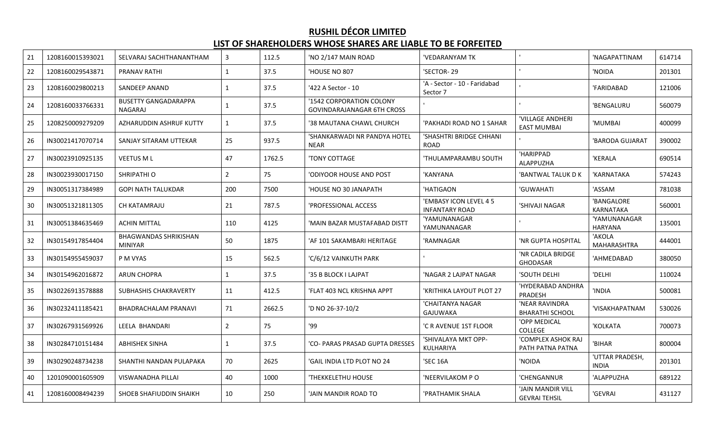# **RUSHIL DÉCOR LIMITED**

#### **LIST OF SHAREHOLDERS WHOSE SHARES ARE LIABLE TO BE FORFEITED**

| 21 | 1208160015393021 | SELVARAJ SACHITHANANTHAM                       | $\overline{3}$ | 112.5  | 'NO 2/147 MAIN ROAD                                           | 'VEDARANYAM TK                                  |                                           | 'NAGAPATTINAM                   | 614714 |
|----|------------------|------------------------------------------------|----------------|--------|---------------------------------------------------------------|-------------------------------------------------|-------------------------------------------|---------------------------------|--------|
| 22 | 1208160029543871 | PRANAV RATHI                                   | $\mathbf{1}$   | 37.5   | HOUSE NO 807                                                  | 'SECTOR-29                                      |                                           | 'NOIDA                          | 201301 |
| 23 | 1208160029800213 | SANDEEP ANAND                                  | 1              | 37.5   | '422 A Sector - 10                                            | 'A - Sector - 10 - Faridabad<br>Sector 7        |                                           | 'FARIDABAD                      | 121006 |
| 24 | 1208160033766331 | <b>BUSETTY GANGADARAPPA</b><br><b>NAGARAJ</b>  | $\mathbf{1}$   | 37.5   | '1542 CORPORATION COLONY<br><b>GOVINDARAJANAGAR 6TH CROSS</b> |                                                 |                                           | 'BENGALURU                      | 560079 |
| 25 | 1208250009279209 | AZHARUDDIN ASHRUF KUTTY                        | $\mathbf{1}$   | 37.5   | '38 MAUTANA CHAWL CHURCH                                      | 'PAKHADI ROAD NO 1 SAHAR                        | 'VILLAGE ANDHERI<br><b>EAST MUMBAI</b>    | 'MUMBAI                         | 400099 |
| 26 | IN30021417070714 | SANJAY SITARAM UTTEKAR                         | 25             | 937.5  | 'SHANKARWADI NR PANDYA HOTEL<br><b>NEAR</b>                   | 'SHASHTRI BRIDGE CHHANI<br><b>ROAD</b>          |                                           | 'BARODA GUJARAT                 | 390002 |
| 27 | IN30023910925135 | VEETUS M L                                     | 47             | 1762.5 | 'TONY COTTAGE                                                 | 'THULAMPARAMBU SOUTH                            | 'HARIPPAD<br>ALAPPUZHA                    | 'KERALA                         | 690514 |
| 28 | IN30023930017150 | SHRIPATHI O                                    | $\overline{2}$ | 75     | ODIYOOR HOUSE AND POST                                        | 'KANYANA                                        | 'BANTWAL TALUK D K                        | 'KARNATAKA                      | 574243 |
| 29 | IN30051317384989 | <b>GOPI NATH TALUKDAR</b>                      | 200            | 7500   | HOUSE NO 30 JANAPATH                                          | 'HATIGAON                                       | 'GUWAHATI                                 | 'ASSAM                          | 781038 |
| 30 | IN30051321811305 | CH KATAMRAJU                                   | 21             | 787.5  | PROFESSIONAL ACCESS                                           | 'EMBASY ICON LEVEL 4 5<br><b>INFANTARY ROAD</b> | 'SHIVAJI NAGAR                            | 'BANGALORE<br>KARNATAKA         | 560001 |
| 31 | IN30051384635469 | <b>ACHIN MITTAL</b>                            | 110            | 4125   | 'MAIN BAZAR MUSTAFABAD DISTT                                  | 'YAMUNANAGAR<br>YAMUNANAGAR                     |                                           | 'YAMUNANAGAR<br><b>HARYANA</b>  | 135001 |
| 32 | IN30154917854404 | <b>BHAGWANDAS SHRIKISHAN</b><br><b>MINIYAR</b> | 50             | 1875   | 'AF 101 SAKAMBARI HERITAGE                                    | 'RAMNAGAR                                       | 'NR GUPTA HOSPITAL                        | 'AKOLA<br><b>MAHARASHTRA</b>    | 444001 |
| 33 | IN30154955459037 | P M VYAS                                       | 15             | 562.5  | 'C/6/12 VAINKUTH PARK                                         |                                                 | 'NR CADILA BRIDGE<br><b>GHODASAR</b>      | 'AHMEDABAD                      | 380050 |
| 34 | IN30154962016872 | <b>ARUN CHOPRA</b>                             | 1              | 37.5   | '35 B BLOCK I LAJPAT                                          | 'NAGAR 2 LAJPAT NAGAR                           | 'SOUTH DELHI                              | 'DELHI                          | 110024 |
| 35 | IN30226913578888 | SUBHASHIS CHAKRAVERTY                          | 11             | 412.5  | 'FLAT 403 NCL KRISHNA APPT                                    | 'KRITHIKA LAYOUT PLOT 27                        | 'HYDERABAD ANDHRA<br>PRADESH              | 'INDIA                          | 500081 |
| 36 | IN30232411185421 | BHADRACHALAM PRANAVI                           | 71             | 2662.5 | 'D NO 26-37-10/2                                              | 'CHAITANYA NAGAR<br>GAJUWAKA                    | 'NEAR RAVINDRA<br><b>BHARATHI SCHOOL</b>  | 'VISAKHAPATNAM                  | 530026 |
| 37 | IN30267931569926 | LEELA BHANDARI                                 | $\overline{2}$ | 75     | '99                                                           | 'C R AVENUE 1ST FLOOR                           | 'OPP MEDICAL<br>COLLEGE                   | 'KOLKATA                        | 700073 |
| 38 | IN30284710151484 | <b>ABHISHEK SINHA</b>                          | $\mathbf{1}$   | 37.5   | 'CO- PARAS PRASAD GUPTA DRESSES                               | 'SHIVALAYA MKT OPP-<br>KULHARIYA                | 'COMPLEX ASHOK RAJ<br>PATH PATNA PATNA    | 'BIHAR                          | 800004 |
| 39 | IN30290248734238 | SHANTHI NANDAN PULAPAKA                        | 70             | 2625   | 'GAIL INDIA LTD PLOT NO 24                                    | 'SEC 16A                                        | 'NOIDA                                    | 'UTTAR PRADESH,<br><b>INDIA</b> | 201301 |
| 40 | 1201090001605909 | VISWANADHA PILLAI                              | 40             | 1000   | 'THEKKELETHU HOUSE                                            | 'NEERVILAKOM P O                                | 'CHENGANNUR                               | 'ALAPPUZHA                      | 689122 |
| 41 | 1208160008494239 | SHOEB SHAFIUDDIN SHAIKH                        | 10             | 250    | JAIN MANDIR ROAD TO                                           | 'PRATHAMIK SHALA                                | 'JAIN MANDIR VILL<br><b>GEVRAI TEHSIL</b> | 'GEVRAI                         | 431127 |